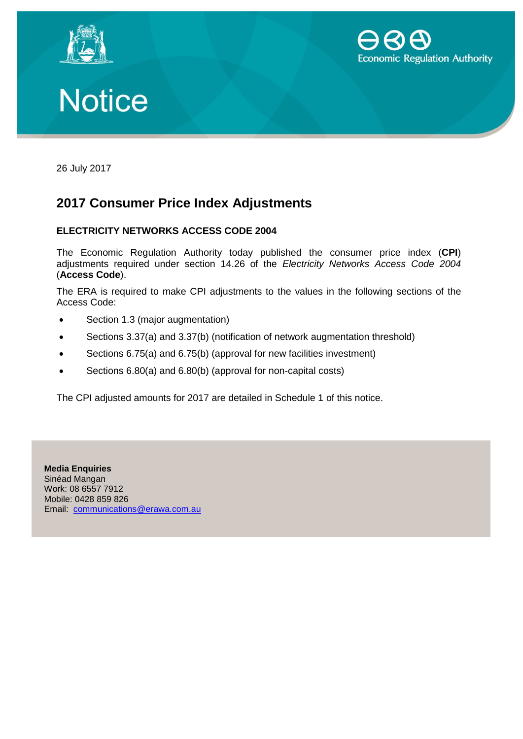





26 July 2017

## **2017 Consumer Price Index Adjustments**

## **ELECTRICITY NETWORKS ACCESS CODE 2004**

The Economic Regulation Authority today published the consumer price index (**CPI**) adjustments required under section 14.26 of the *Electricity Networks Access Code 2004* (**Access Code**).

The ERA is required to make CPI adjustments to the values in the following sections of the Access Code:

- Section 1.3 (major augmentation)
- Sections 3.37(a) and 3.37(b) (notification of network augmentation threshold)
- Sections 6.75(a) and 6.75(b) (approval for new facilities investment)
- Sections 6.80(a) and 6.80(b) (approval for non-capital costs)

The CPI adjusted amounts for 2017 are detailed in Schedule 1 of this notice.

**Media Enquiries** Sinéad Mangan Work: 08 6557 7912 Mobile: 0428 859 826 Email: [communications@erawa.com.au](mailto:communications@erawa.com.au)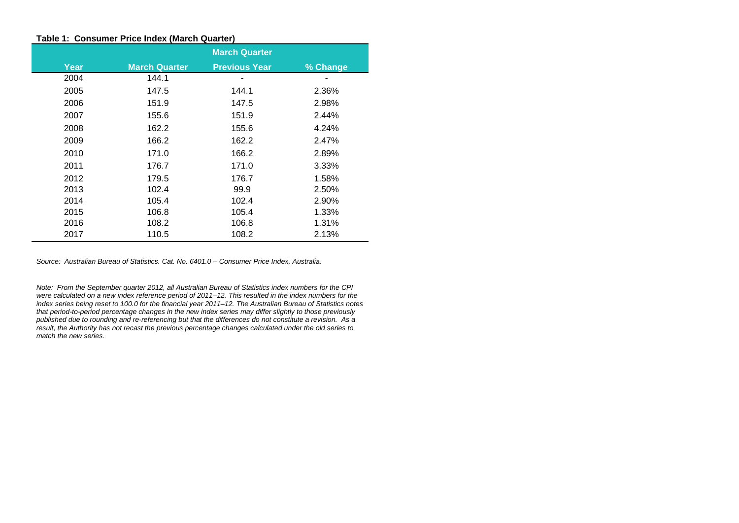## **Table 1: Consumer Price Index (March Quarter)**

|      | <b>March Quarter</b> |                      |          |  |  |  |  |
|------|----------------------|----------------------|----------|--|--|--|--|
| Year | <b>March Quarter</b> | <b>Previous Year</b> | % Change |  |  |  |  |
| 2004 | 144.1                |                      |          |  |  |  |  |
| 2005 | 147.5                | 144.1                | 2.36%    |  |  |  |  |
| 2006 | 151.9                | 147.5                | 2.98%    |  |  |  |  |
| 2007 | 155.6                | 151.9                | 2.44%    |  |  |  |  |
| 2008 | 162.2                | 155.6                | 4.24%    |  |  |  |  |
| 2009 | 166.2                | 162.2                | 2.47%    |  |  |  |  |
| 2010 | 171.0                | 166.2                | 2.89%    |  |  |  |  |
| 2011 | 176.7                | 171.0                | 3.33%    |  |  |  |  |
| 2012 | 179.5                | 176.7                | 1.58%    |  |  |  |  |
| 2013 | 102.4                | 99.9                 | 2.50%    |  |  |  |  |
| 2014 | 105.4                | 102.4                | 2.90%    |  |  |  |  |
| 2015 | 106.8                | 105.4                | 1.33%    |  |  |  |  |
| 2016 | 108.2                | 106.8                | 1.31%    |  |  |  |  |
| 2017 | 110.5                | 108.2                | 2.13%    |  |  |  |  |

*Source: Australian Bureau of Statistics. Cat. No. 6401.0 – Consumer Price Index, Australia.*

*Note: From the September quarter 2012, all Australian Bureau of Statistics index numbers for the CPI were calculated on a new index reference period of 2011–12. This resulted in the index numbers for the index series being reset to 100.0 for the financial year 2011–12. The Australian Bureau of Statistics notes that period-to-period percentage changes in the new index series may differ slightly to those previously published due to rounding and re-referencing but that the differences do not constitute a revision. As a result, the Authority has not recast the previous percentage changes calculated under the old series to match the new series.*